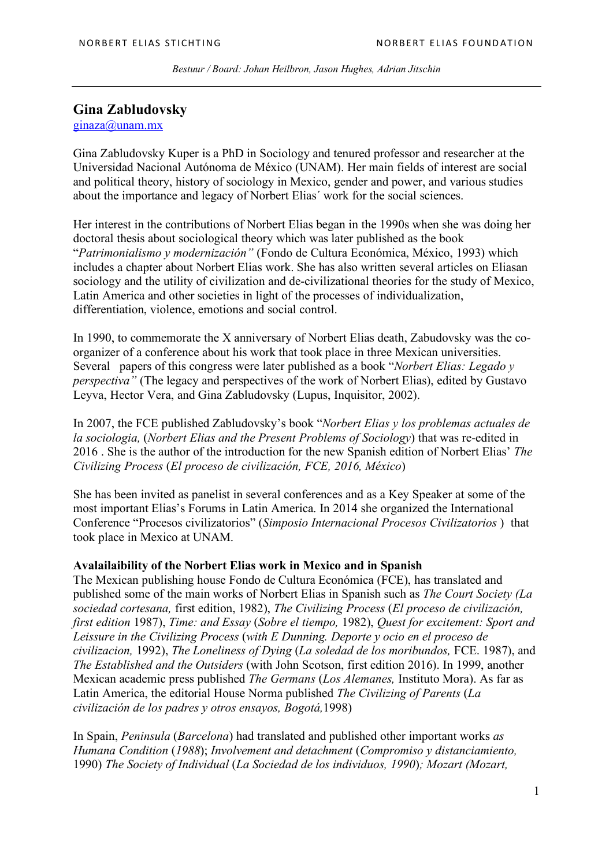*Bestuur / Board: Johan Heilbron, Jason Hughes, Adrian Jitschin*

## **Gina Zabludovsky**

 $\text{ginaza}(a)$ unam.mx

Gina Zabludovsky Kuper is a PhD in Sociology and tenured professor and researcher at the Universidad Nacional Autónoma de México (UNAM). Her main fields of interest are social and political theory, history of sociology in Mexico, gender and power, and various studies about the importance and legacy of Norbert Elias´ work for the social sciences.

Her interest in the contributions of Norbert Elias began in the 1990s when she was doing her doctoral thesis about sociological theory which was later published as the book "*Patrimonialismo y modernización"* (Fondo de Cultura Económica, México, 1993) which includes a chapter about Norbert Elias work. She has also written several articles on Eliasan sociology and the utility of civilization and de-civilizational theories for the study of Mexico, Latin America and other societies in light of the processes of individualization, differentiation, violence, emotions and social control.

In 1990, to commemorate the X anniversary of Norbert Elias death, Zabudovsky was the coorganizer of a conference about his work that took place in three Mexican universities. Several papers of this congress were later published as a book "*Norbert Elias: Legado y perspectiva"* (The legacy and perspectives of the work of Norbert Elias), edited by Gustavo Leyva, Hector Vera, and Gina Zabludovsky (Lupus, Inquisitor, 2002).

In 2007, the FCE published Zabludovsky's book "*Norbert Elias y los problemas actuales de la sociologia,* (*Norbert Elias and the Present Problems of Sociology*) that was re-edited in 2016 . She is the author of the introduction for the new Spanish edition of Norbert Elias' *The Civilizing Process* (*El proceso de civilización, FCE, 2016, México*)

She has been invited as panelist in several conferences and as a Key Speaker at some of the most important Elias's Forums in Latin America. In 2014 she organized the International Conference "Procesos civilizatorios" (*Simposio Internacional Procesos Civilizatorios* ) that took place in Mexico at UNAM.

## **Avalailaibility of the Norbert Elias work in Mexico and in Spanish**

The Mexican publishing house Fondo de Cultura Económica (FCE), has translated and published some of the main works of Norbert Elias in Spanish such as *The Court Society (La sociedad cortesana,* first edition, 1982), *The Civilizing Process* (*El proceso de civilización, first edition* 1987), *Time: and Essay* (*Sobre el tiempo,* 1982), *Quest for excitement: Sport and Leissure in the Civilizing Process* (*with E Dunning. Deporte y ocio en el proceso de civilizacion,* 1992), *The Loneliness of Dying* (*La soledad de los moribundos,* FCE. 1987), and *The Established and the Outsiders* (with John Scotson, first edition 2016). In 1999, another Mexican academic press published *The Germans* (*Los Alemanes,* Instituto Mora). As far as Latin America, the editorial House Norma published *The Civilizing of Parents* (*La civilización de los padres y otros ensayos, Bogotá,*1998)

In Spain, *Peninsula* (*Barcelona*) had translated and published other important works *as Humana Condition* (*1988*); *Involvement and detachment* (*Compromiso y distanciamiento,*  1990) *The Society of Individual* (*La Sociedad de los individuos, 1990*)*; Mozart (Mozart,*